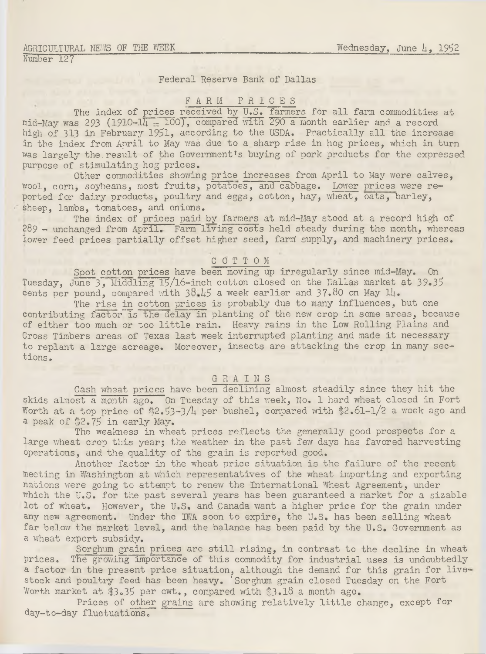### agricultural news of the week Number 127

# Federal Reserve Bank of Dallas

## FARM P R I C E S

The index of prices received by U.S. farmers for all farm commodities at mid-May was 293 (1910- $1\overline{11} = 100$ ), compared with 290 a month earlier and a record high of 313 in February 1951, according to the USDA. Practically all the increase in the index from April to May was due to a sharp rise in hog prices, which in turn was largely the result of the Government's buying of pork products for the expressed purpose of stimulating hog prices.

Other commodities showing price increases from April to May were calves, wool, corn, soybeans, most fruits, potatoes, and cabbage. Lower prices were reported for dairy products, poultry and eggs, cotton, hay, wheat, oats, barley, sheep, lambs, tomatoes, and onions.

The index of prices paid by farmers at mid-May.stood at a record high of 289 - unchanged from April. Farm living costs held steady during the month, whereas lower feed prices partially offset higher seed, farm' supply, and machinery prices.

### COTTON

Spot cotton prices have been moving up irregularly since mid-May. On Tuesday, June 3, Middling 15/16-inch cotton closed on the Dallas market at 39.35 cents per pound, compared with  $38.45$  a week earlier and  $37.80$  on May  $14.$ 

The rise in cotton prices is probably due to many influences, but one contributing factor is the delay in planting of the new crop in some areas, because of either too much or too little rain. Heavy rains in the Low Rolling Plains and Cross Timbers areas of Texas last week interrupted planting and made it necessary to replant a large acreage. Moreover, insects are attacking the crop in many sections.

# GRAIN

Cash wheat prices have been declining almost steadily since they hit the skids almost a month ago. On Tuesday of this week, No. 1 hard wheat closed in Fort Worth at a top price of  $$2.53-3/4$  per bushel, compared with  $$2.61-1/2$  a week ago and a peak of \$2.75 in early May.

The weakness in wheat prices reflects the generally good prospects for a large wheat crop this year; the weather in the past few days has favored harvesting operations, and the quality of the grain is reported good.

Another factor in the wheat price situation is the failure of the recent meeting in Washington at which representatives of the wheat importing and exporting nations were going to attempt to renew the International Wheat Agreement, under which the U.S. for the past several years has been guaranteed a market for a sizable lot of wheat. However, the U.S. and Canada want a higher price for the grain under any new agreement. Under the IWA soon to expire, the U.S. has been selling wheat far below the market level, and the balance has been paid by the U.S. Government as a wheat export subsidy.

Sorghum grain prices are still rising, in contrast to the decline in wheat prices. The growing importance of this commodity for industrial uses is undoubtedly a factor in the present price situation, although the demand for this grain for livestock and poultry feed has been heavy. ' Sorghum grain closed Tuesday on the Fort Worth market at \$3.35 per cwt., compared with \$3.18 a month ago.

Prices of other grains are showing relatively little change, except for day-to-day fluctuations.